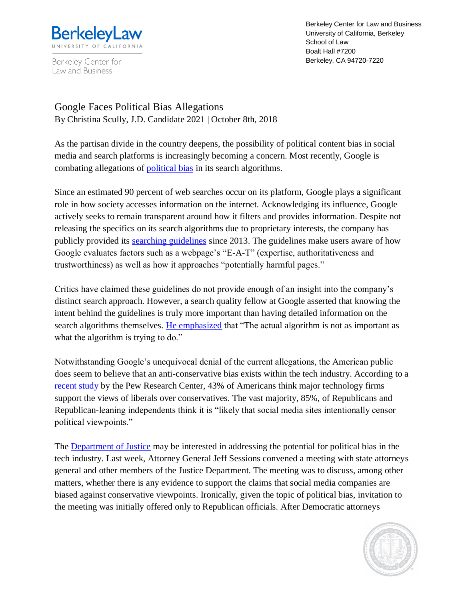

Berkeley Center for Law and Business

Berkeley Center for Law and Business University of California, Berkeley School of Law Boalt Hall #7200 Berkeley, CA 94720-7220

Google Faces Political Bias Allegations By Christina Scully, J.D. Candidate 2021 | October 8th, 2018

As the partisan divide in the country deepens, the possibility of political content bias in social media and search platforms is increasingly becoming a concern. Most recently, Google is combating allegations of [political bias](https://www.nytimes.com/2018/09/21/technology/google-search-political-bias.html?rref=collection%2Fsectioncollection%2Fbusiness&action=click&contentCollection=business®ion=stream&module=stream_unit&version=latest&contentPlacement=5&pgtype=sectionfront) in its search algorithms.

Since an estimated 90 percent of web searches occur on its platform, Google plays a significant role in how society accesses information on the internet. Acknowledging its influence, Google actively seeks to remain transparent around how it filters and provides information. Despite not releasing the specifics on its search algorithms due to proprietary interests, the company has publicly provided its [searching guidelines](https://static.googleusercontent.com/media/www.google.com/en/insidesearch/howsearchworks/assets/searchqualityevaluatorguidelines.pdf) since 2013. The guidelines make users aware of how Google evaluates factors such as a webpage's "E-A-T" (expertise, authoritativeness and trustworthiness) as well as how it approaches "potentially harmful pages."

Critics have claimed these guidelines do not provide enough of an insight into the company's distinct search approach. However, a search quality fellow at Google asserted that knowing the intent behind the guidelines is truly more important than having detailed information on the search algorithms themselves. [He emphasized](https://www.nytimes.com/2017/09/26/technology/google-search-bias-claims.html) that "The actual algorithm is not as important as what the algorithm is trying to do."

Notwithstanding Google's unequivocal denial of the current allegations, the American public does seem to believe that an anti-conservative bias exists within the tech industry. According to a [recent study](http://www.pewinternet.org/2018/06/28/public-attitudes-toward-technology-companies/) by the Pew Research Center, 43% of Americans think major technology firms support the views of liberals over conservatives. The vast majority, 85%, of Republicans and Republican-leaning independents think it is "likely that social media sites intentionally censor political viewpoints."

The [Department of Justice](https://www.bloomberg.com/news/articles/2018-09-13/sessions-agrees-to-include-democrats-in-meeting-on-social-media) may be interested in addressing the potential for political bias in the tech industry. Last week, Attorney General Jeff Sessions convened a meeting with state attorneys general and other members of the Justice Department. The meeting was to discuss, among other matters, whether there is any evidence to support the claims that social media companies are biased against conservative viewpoints. Ironically, given the topic of political bias, invitation to the meeting was initially offered only to Republican officials. After Democratic attorneys